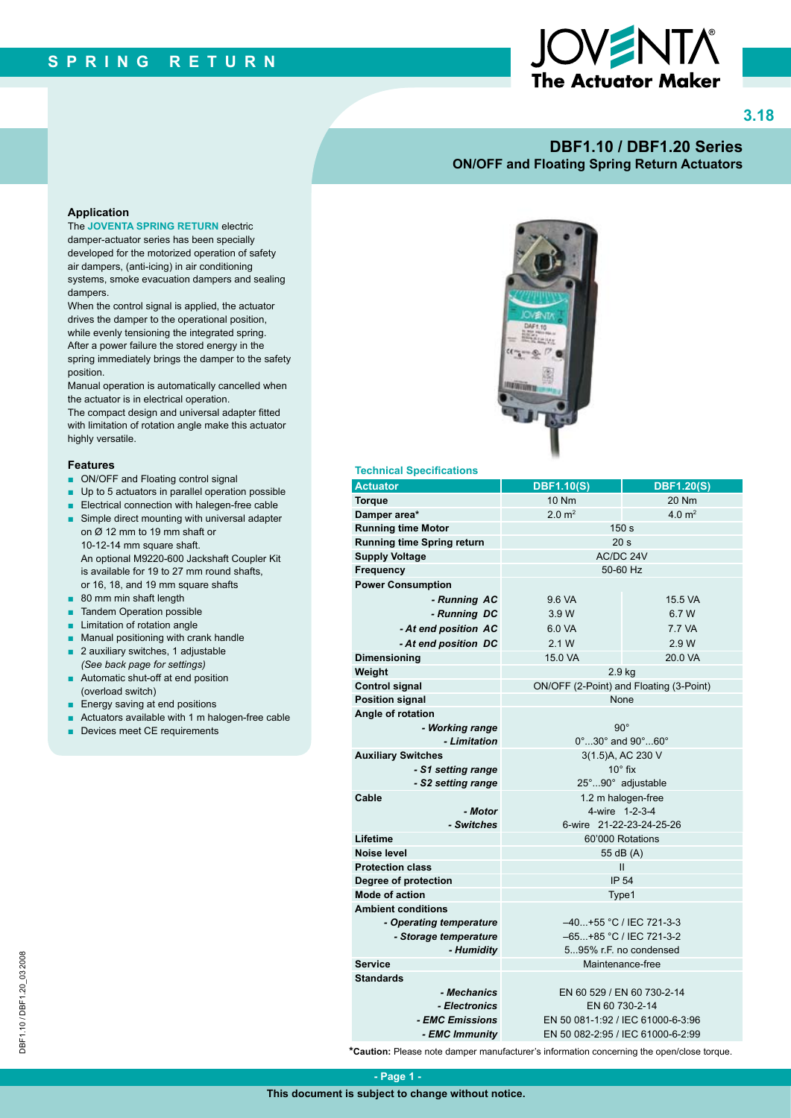

**3.18**

### **DBF1.10 / DBF1.20 Series ON/OFF and Floating Spring Return Actuators**

#### **Application**

The **JOVENTA SPRING RETURN** electric damper-actuator series has been specially developed for the motorized operation of safety air dampers, (anti-icing) in air conditioning systems, smoke evacuation dampers and sealing dampers.

When the control signal is applied, the actuator drives the damper to the operational position, while evenly tensioning the integrated spring. After a power failure the stored energy in the spring immediately brings the damper to the safety position.

Manual operation is automatically cancelled when the actuator is in electrical operation.

The compact design and universal adapter fitted with limitation of rotation angle make this actuator highly versatile.

#### **Features**

- ON/OFF and Floating control signal
- Up to 5 actuators in parallel operation possible
- Electrical connection with halegen-free cable
- Simple direct mounting with universal adapter on Ø 12 mm to 19 mm shaft or 10-12-14 mm square shaft. An optional M9220-600 Jackshaft Coupler Kit is available for 19 to 27 mm round shafts, or 16, 18, and 19 mm square shafts
- 80 mm min shaft length
- **Tandem Operation possible**
- Limitation of rotation angle
- Manual positioning with crank handle
- 2 auxiliary switches, 1 adjustable *(See back page for settings)*
- Automatic shut-off at end position (overload switch)
- Energy saving at end positions
- Actuators available with 1 m halogen-free cable
- Devices meet CE requirements



#### **Technical Specifications**

| <b>Actuator</b>                   | <b>DBF1.10(S)</b>                                                      | <b>DBF1.20(S)</b> |
|-----------------------------------|------------------------------------------------------------------------|-------------------|
| <b>Torque</b>                     | <b>10 Nm</b>                                                           | 20 Nm             |
| Damper area*                      | $2.0 \text{ m}^2$<br>4.0 m <sup>2</sup>                                |                   |
| <b>Running time Motor</b>         | 150 <sub>s</sub>                                                       |                   |
| <b>Running time Spring return</b> | 20 <sub>s</sub>                                                        |                   |
| <b>Supply Voltage</b>             | AC/DC 24V                                                              |                   |
| Frequency                         | 50-60 Hz                                                               |                   |
| <b>Power Consumption</b>          |                                                                        |                   |
| - Running AC                      | 9.6 VA                                                                 | 15.5 VA           |
| - Running DC                      | 3.9 W                                                                  | 6.7 W             |
| - At end position AC              | 6.0 VA                                                                 | 7.7 VA            |
| - At end position DC              | 2.1 W                                                                  | 2.9 W             |
| <b>Dimensioning</b>               | 15.0 VA                                                                | 20.0 VA           |
| Weight                            | 2.9 <sub>kg</sub>                                                      |                   |
| <b>Control signal</b>             | ON/OFF (2-Point) and Floating (3-Point)                                |                   |
| <b>Position signal</b>            | None                                                                   |                   |
| Angle of rotation                 |                                                                        |                   |
| - Working range                   | $90^{\circ}$                                                           |                   |
| - Limitation                      | 0°  30° and 90°  60°                                                   |                   |
| <b>Auxiliary Switches</b>         | 3(1.5)A, AC 230 V                                                      |                   |
| - S1 setting range                | $10^\circ$ fix                                                         |                   |
| - S2 setting range                | 25°90° adjustable                                                      |                   |
| Cable                             | 1.2 m halogen-free                                                     |                   |
| - Motor                           | 4-wire 1-2-3-4                                                         |                   |
| - Switches                        | 6-wire 21-22-23-24-25-26                                               |                   |
| Lifetime                          | 60'000 Rotations                                                       |                   |
| Noise level                       | 55 dB (A)                                                              |                   |
| <b>Protection class</b>           | Ш                                                                      |                   |
| Degree of protection              | <b>IP 54</b>                                                           |                   |
| <b>Mode of action</b>             | Type1                                                                  |                   |
| <b>Ambient conditions</b>         |                                                                        |                   |
| - Operating temperature           | $-40+55$ °C / IEC 721-3-3                                              |                   |
| - Storage temperature             | -65+85 °C / IEC 721-3-2                                                |                   |
| - Humidity                        | 595% r.F. no condensed                                                 |                   |
| <b>Service</b>                    | Maintenance-free                                                       |                   |
| <b>Standards</b>                  |                                                                        |                   |
| - Mechanics                       | EN 60 529 / EN 60 730-2-14                                             |                   |
| - Electronics                     | EN 60 730-2-14                                                         |                   |
| - EMC Emissions                   | EN 50 081-1:92 / IEC 61000-6-3:96<br>EN 50 082-2:95 / IEC 61000-6-2:99 |                   |
| - EMC Immunitv                    |                                                                        |                   |

**\*Caution:** Please note damper manufacturer's information concerning the open/close torque.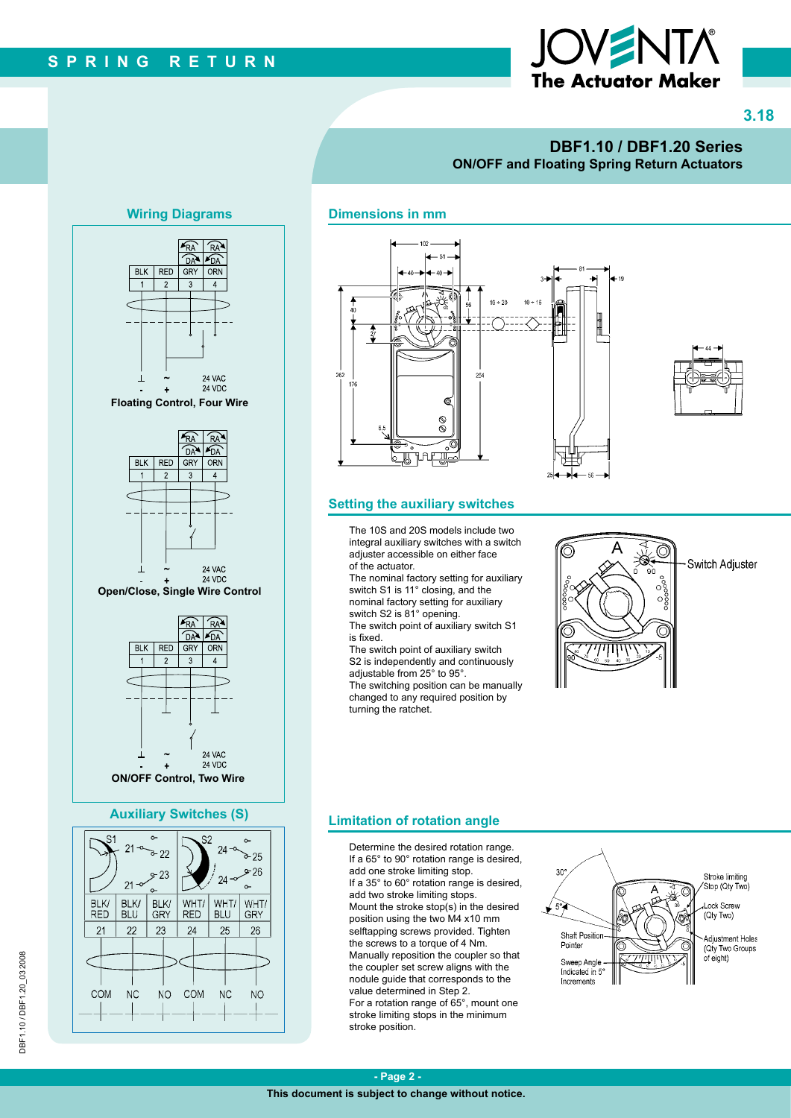

**3.18**

## **DBF1.10 / DBF1.20 Series ON/OFF and Floating Spring Return Actuators**

#### **Dimensions in mm**



#### **Setting the auxiliary switches**

The 10S and 20S models include two integral auxiliary switches with a switch adjuster accessible on either face of the actuator.

The nominal factory setting for auxiliary switch S1 is 11° closing, and the nominal factory setting for auxiliary switch S2 is 81° opening.

The switch point of auxiliary switch S1 is fixed.

The switch point of auxiliary switch S2 is independently and continuously adjustable from 25° to 95°.

The switching position can be manually changed to any required position by turning the ratchet.



### **Limitation of rotation angle**

Determine the desired rotation range. If a 65° to 90° rotation range is desired, add one stroke limiting stop. If a 35° to 60° rotation range is desired, add two stroke limiting stops. Mount the stroke stop(s) in the desired position using the two M4 x10 mm selftapping screws provided. Tighten the screws to a torque of 4 Nm. Manually reposition the coupler so that the coupler set screw aligns with the nodule guide that corresponds to the value determined in Step 2. For a rotation range of 65°, mount one stroke limiting stops in the minimum stroke position.



# **Wiring Diagrams**



COM

**NC** 

NO

COM

NC

**NO**